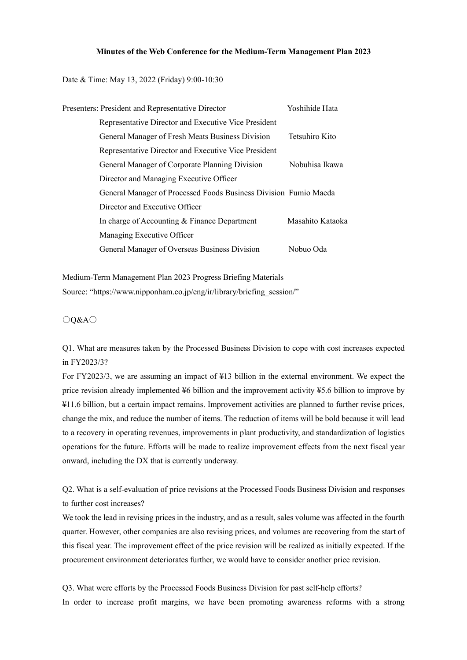## **Minutes of the Web Conference for the Medium-Term Management Plan 2023**

Date & Time: May 13, 2022 (Friday) 9:00-10:30

| Presenters: President and Representative Director                | Yoshihide Hata   |
|------------------------------------------------------------------|------------------|
| Representative Director and Executive Vice President             |                  |
| General Manager of Fresh Meats Business Division                 | Tetsuhiro Kito   |
| Representative Director and Executive Vice President             |                  |
| General Manager of Corporate Planning Division                   | Nobuhisa Ikawa   |
| Director and Managing Executive Officer                          |                  |
| General Manager of Processed Foods Business Division Fumio Maeda |                  |
| Director and Executive Officer                                   |                  |
| In charge of Accounting & Finance Department                     | Masahito Kataoka |
| Managing Executive Officer                                       |                  |
| General Manager of Overseas Business Division                    | Nobuo Oda        |

Medium-Term Management Plan 2023 Progress Briefing Materials Source: "https://www.nipponham.co.jp/eng/ir/library/briefing\_session/"

○Q&A○

Q1. What are measures taken by the Processed Business Division to cope with cost increases expected in FY2023/3?

For FY2023/3, we are assuming an impact of ¥13 billion in the external environment. We expect the price revision already implemented ¥6 billion and the improvement activity ¥5.6 billion to improve by ¥11.6 billion, but a certain impact remains. Improvement activities are planned to further revise prices, change the mix, and reduce the number of items. The reduction of items will be bold because it will lead to a recovery in operating revenues, improvements in plant productivity, and standardization of logistics operations for the future. Efforts will be made to realize improvement effects from the next fiscal year onward, including the DX that is currently underway.

Q2. What is a self-evaluation of price revisions at the Processed Foods Business Division and responses to further cost increases?

We took the lead in revising prices in the industry, and as a result, sales volume was affected in the fourth quarter. However, other companies are also revising prices, and volumes are recovering from the start of this fiscal year. The improvement effect of the price revision will be realized as initially expected. If the procurement environment deteriorates further, we would have to consider another price revision.

Q3. What were efforts by the Processed Foods Business Division for past self-help efforts? In order to increase profit margins, we have been promoting awareness reforms with a strong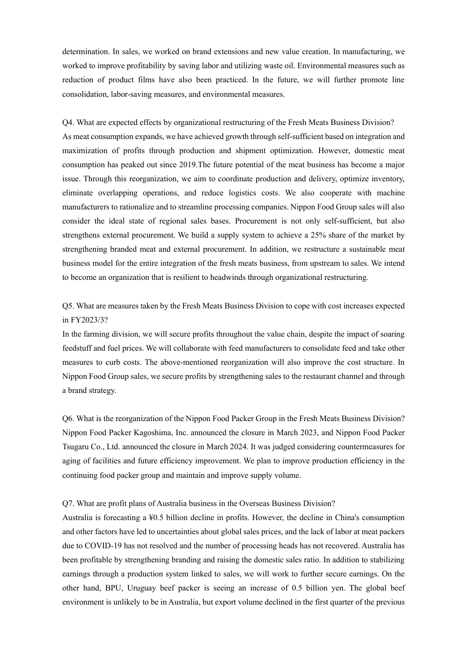determination. In sales, we worked on brand extensions and new value creation. In manufacturing, we worked to improve profitability by saving labor and utilizing waste oil. Environmental measures such as reduction of product films have also been practiced. In the future, we will further promote line consolidation, labor-saving measures, and environmental measures.

Q4. What are expected effects by organizational restructuring of the Fresh Meats Business Division? As meat consumption expands, we have achieved growth through self-sufficient based on integration and maximization of profits through production and shipment optimization. However, domestic meat consumption has peaked out since 2019.The future potential of the meat business has become a major issue. Through this reorganization, we aim to coordinate production and delivery, optimize inventory, eliminate overlapping operations, and reduce logistics costs. We also cooperate with machine manufacturers to rationalize and to streamline processing companies. Nippon Food Group sales will also consider the ideal state of regional sales bases. Procurement is not only self-sufficient, but also strengthens external procurement. We build a supply system to achieve a 25% share of the market by strengthening branded meat and external procurement. In addition, we restructure a sustainable meat business model for the entire integration of the fresh meats business, from upstream to sales. We intend to become an organization that is resilient to headwinds through organizational restructuring.

## Q5. What are measures taken by the Fresh Meats Business Division to cope with cost increases expected in FY2023/3?

In the farming division, we will secure profits throughout the value chain, despite the impact of soaring feedstuff and fuel prices. We will collaborate with feed manufacturers to consolidate feed and take other measures to curb costs. The above-mentioned reorganization will also improve the cost structure. In Nippon Food Group sales, we secure profits by strengthening sales to the restaurant channel and through a brand strategy.

Q6. What is the reorganization of the Nippon Food Packer Group in the Fresh Meats Business Division? Nippon Food Packer Kagoshima, Inc. announced the closure in March 2023, and Nippon Food Packer Tsugaru Co., Ltd. announced the closure in March 2024. It was judged considering countermeasures for aging of facilities and future efficiency improvement. We plan to improve production efficiency in the continuing food packer group and maintain and improve supply volume.

## Q7. What are profit plans of Australia business in the Overseas Business Division?

Australia is forecasting a ¥0.5 billion decline in profits. However, the decline in China's consumption and other factors have led to uncertainties about global sales prices, and the lack of labor at meat packers due to COVID-19 has not resolved and the number of processing heads has not recovered. Australia has been profitable by strengthening branding and raising the domestic sales ratio. In addition to stabilizing earnings through a production system linked to sales, we will work to further secure earnings. On the other hand, BPU, Uruguay beef packer is seeing an increase of 0.5 billion yen. The global beef environment is unlikely to be in Australia, but export volume declined in the first quarter of the previous